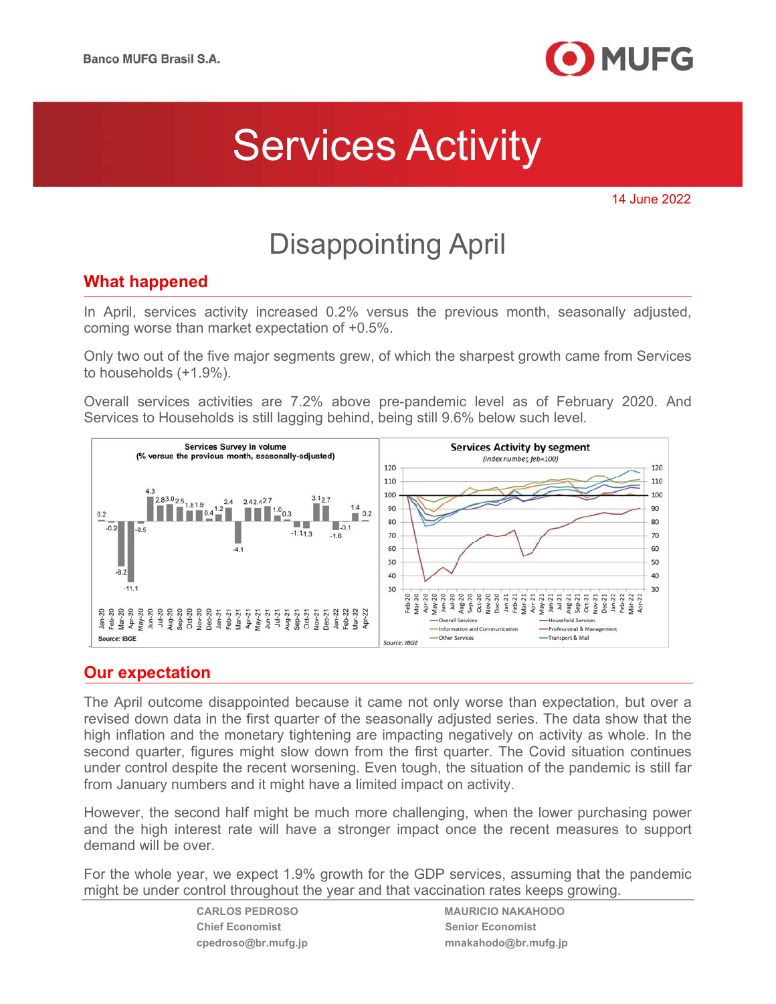

# Services Activity

14 June 2022

## Disappointing April

### **What happened**

In April, services activity increased 0.2% versus the previous month, seasonally adjusted, coming worse than market expectation of +0.5%.

Only two out of the five major segments grew, of which the sharpest growth came from Services to households (+1.9%).

Overall services activities are 7.2% above pre-pandemic level as of February 2020. And Services to Households is still lagging behind, being still 9.6% below such level.



### **Our expectation**

The April outcome disappointed because it came not only worse than expectation, but over a revised down data in the first quarter of the seasonally adjusted series. The data show that the high inflation and the monetary tightening are impacting negatively on activity as whole. In the second quarter, figures might slow down from the first quarter. The Covid situation continues under control despite the recent worsening. Even tough, the situation of the pandemic is still far from January numbers and it might have a limited impact on activity.

However, the second half might be much more challenging, when the lower purchasing power and the high interest rate will have a stronger impact once the recent measures to support demand will be over.

For the whole year, we expect 1.9% growth for the GDP services, assuming that the pandemic might be under control throughout the year and that vaccination rates keeps growing.

**Chief Economist Chief Economist** Senior Economist

**CARLOS PEDROSO MAURICIO NAKAHODO cpedroso@br.mufg.jp mnakahodo@br.mufg.jp**